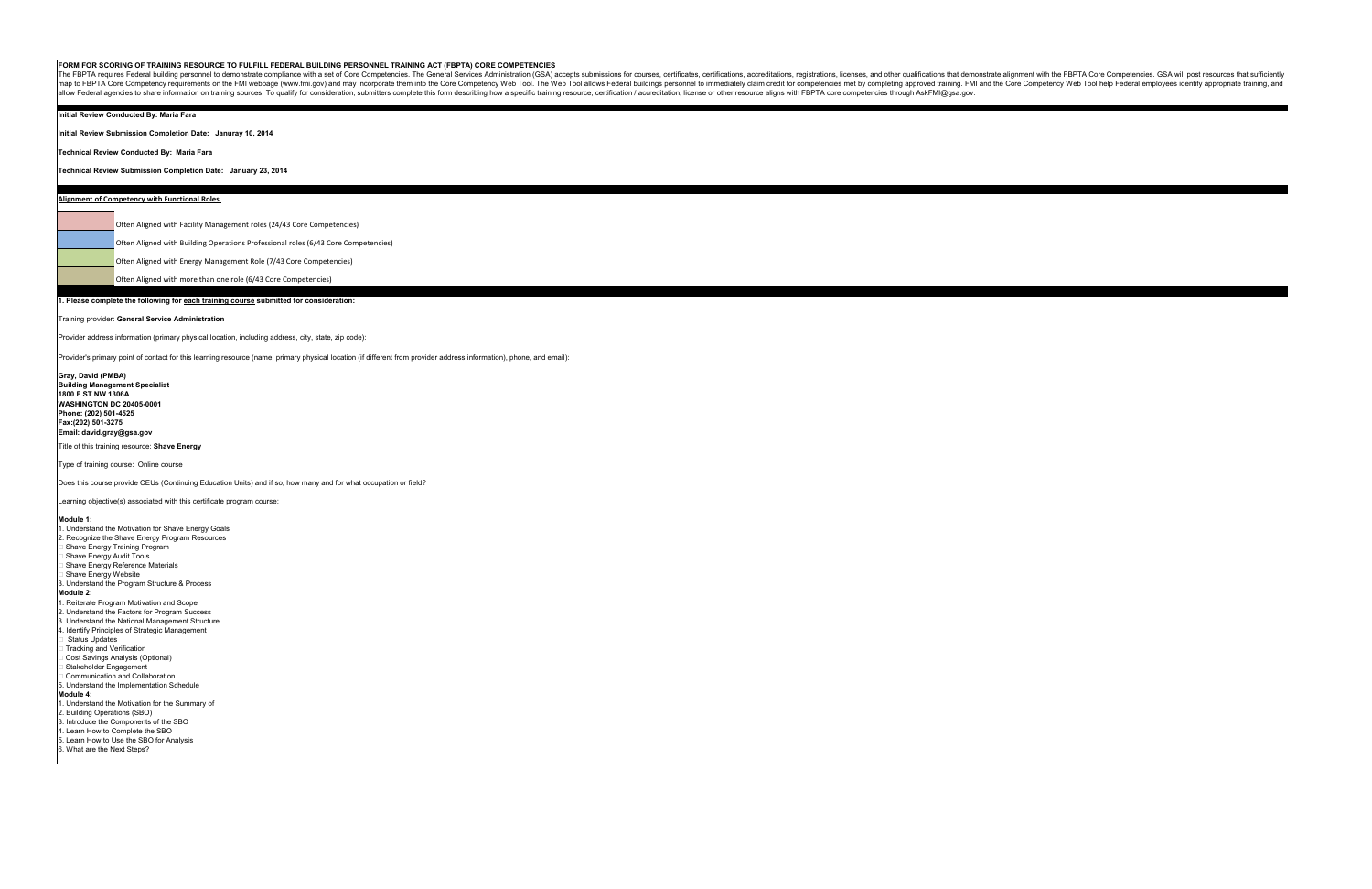## **FORM FOR SCORING OF TRAINING RESOURCE TO FULFILL FEDERAL BUILDING PERSONNEL TRAINING ACT (FBPTA) CORE COMPETENCIES**

The FBPTA requires Federal building personnel to demonstrate compliance with a set of Core Competencies. The General Services Administration (GSA) accepts submissions for courses, certifications, accreditations, registrati map to FBPTA Core Competency requirements on the FMI webpage (www.fmi.gov) and may incorporate them into the Core Competency Web Tool. The Web Tool allows Federal buildings personnel to immediately claim credit for compete allow Federal agencies to share information on training sources. To qualify for consideration, submitters complete this form describing how a specific training resource, certification / accreditation, license or other reso

### **Initial Review Conducted By: Maria Fara**

**Initial Review Submission Completion Date: Januray 10, 2014**

**Technical Review Conducted By: Maria Fara**

### **Technical Review Submission Completion Date: January 23, 2014**

# **1. Please complete the following for each training course submitted for consideration:**

### Training provider: **General Service Administration**

Provider address information (primary physical location, including address, city, state, zip code):

Provider's primary point of contact for this learning resource (name, primary physical location (if different from provider address information), phone, and email):

**Gray, David (PMBA) Building Management Specialist 1800 F ST NW 1306A WASHINGTON DC 20405-0001 Phone: (202) 501-4525 Fax:(202) 501-3275 Email: david.gray@gsa.gov**

Title of this training resource: **Shave Energy**

Type of training course: Online course

Does this course provide CEUs (Continuing Education Units) and if so, how many and for what occupation or field?

Learning objective(s) associated with this certificate program course:

**Module 1:**

- 1. Understand the Motivation for Shave Energy Goals 2. Recognize the Shave Energy Program Resources **Shave Energy Training Program Shave Energy Audit Tools**  Shave Energy Reference Materials Shave Energy Website 3. Understand the Program Structure & Process **Module 2:** 1. Reiterate Program Motivation and Scope 2. Understand the Factors for Program Success 3. Understand the National Management Structure 4. Identify Principles of Strategic Management Status Updates **Tracking and Verification**  Cost Savings Analysis (Optional) Stakeholder Engagement Communication and Collaboration 5. Understand the Implementation Schedule **Module 4:** 1. Understand the Motivation for the Summary of 2. Building Operations (SBO) 3. Introduce the Components of the SBO 4. Learn How to Complete the SBO 5. Learn How to Use the SBO for Analysis
- 6. What are the Next Steps?

Often Aligned with Facility Management roles (24/43 Core Competencies)

Often Aligned with Building Operations Professional roles (6/43 Core Competencies)

Often Aligned with Energy Management Role (7/43 Core Competencies)

Often Aligned with more than one role (6/43 Core Competencies)

**Alignment of Competency with Functional Roles**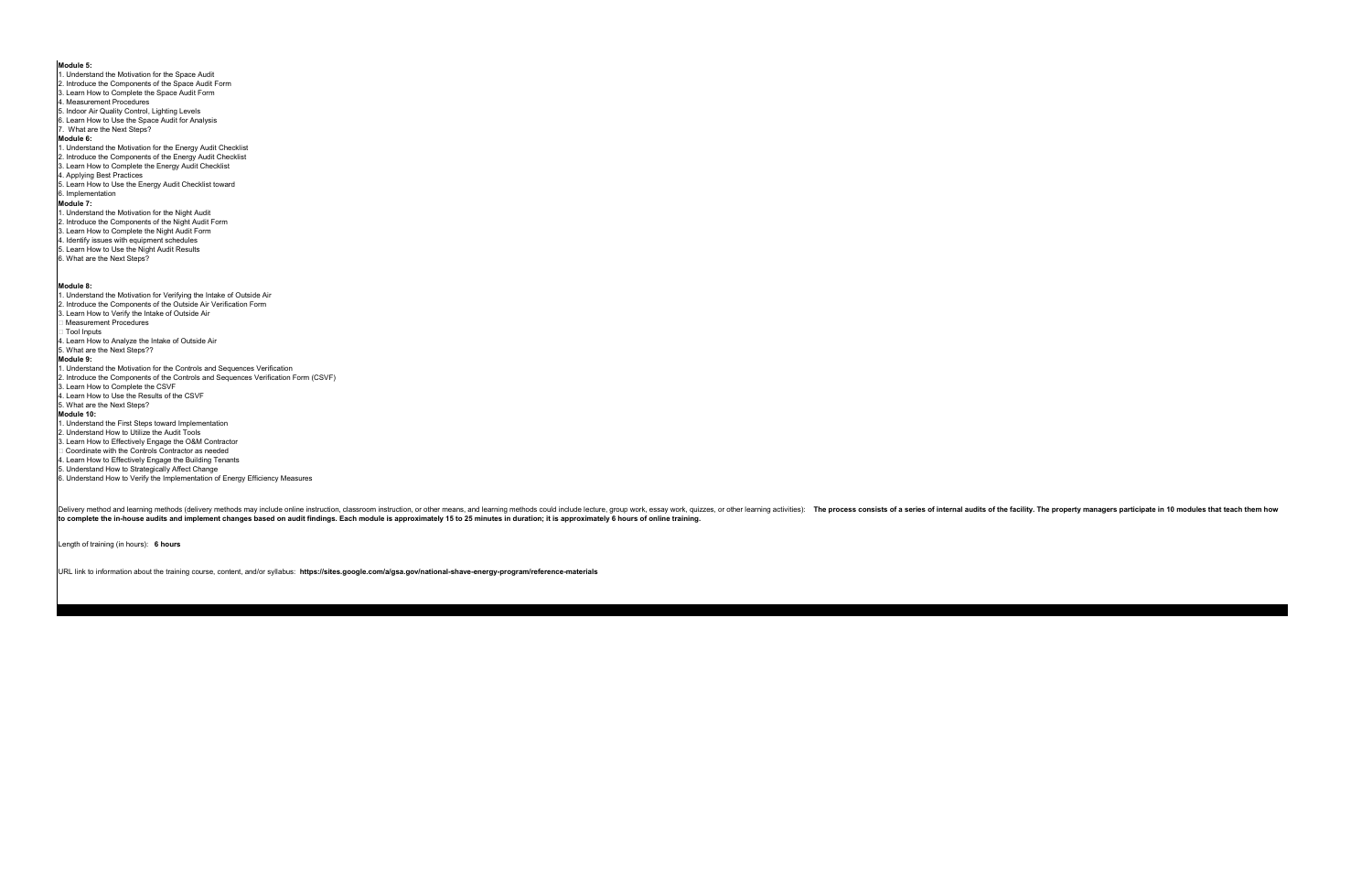**Module 5:** 1. Understand the Motivation for the Space Audit 2. Introduce the Components of the Space Audit Form 3. Learn How to Complete the Space Audit Form 4. Measurement Procedures 5. Indoor Air Quality Control, Lighting Levels 6. Learn How to Use the Space Audit for Analysis 7. What are the Next Steps? **Module 6:** 1. Understand the Motivation for the Energy Audit Checklist 2. Introduce the Components of the Energy Audit Checklist 3. Learn How to Complete the Energy Audit Checklist 4. Applying Best Practices 5. Learn How to Use the Energy Audit Checklist toward 6. Implementation **Module 7:** 1. Understand the Motivation for the Night Audit 2. Introduce the Components of the Night Audit Form 3. Learn How to Complete the Night Audit Form 4. Identify issues with equipment schedules 5. Learn How to Use the Night Audit Results 6. What are the Next Steps? **Module 8:** 1. Understand the Motivation for Verifying the Intake of Outside Air 2. Introduce the Components of the Outside Air Verification Form 3. Learn How to Verify the Intake of Outside Air Measurement Procedures Tool Inputs 4. Learn How to Analyze the Intake of Outside Air 5. What are the Next Steps?? **Module 9:** 1. Understand the Motivation for the Controls and Sequences Verification 2. Introduce the Components of the Controls and Sequences Verification Form (CSVF) 3. Learn How to Complete the CSVF 4. Learn How to Use the Results of the CSVF 5. What are the Next Steps? **Module 10:** 1. Understand the First Steps toward Implementation 2. Understand How to Utilize the Audit Tools

Delivery method and learning methods (delivery methods may include online instruction, classroom instruction, classroom instruction, or other means, and learning methods could include lecture, group work, essay work, quizz **to complete the in-house audits and implement changes based on audit findings. Each module is approximately 15 to 25 minutes in duration; it is approximately 6 hours of online training.**

3. Learn How to Effectively Engage the O&M Contractor Coordinate with the Controls Contractor as needed

4. Learn How to Effectively Engage the Building Tenants

5. Understand How to Strategically Affect Change

6. Understand How to Verify the Implementation of Energy Efficiency Measures

Length of training (in hours): **6 hours**

URL link to information about the training course, content, and/or syllabus: **https://sites.google.com/a/gsa.gov/national-shave-energy-program/reference-materials**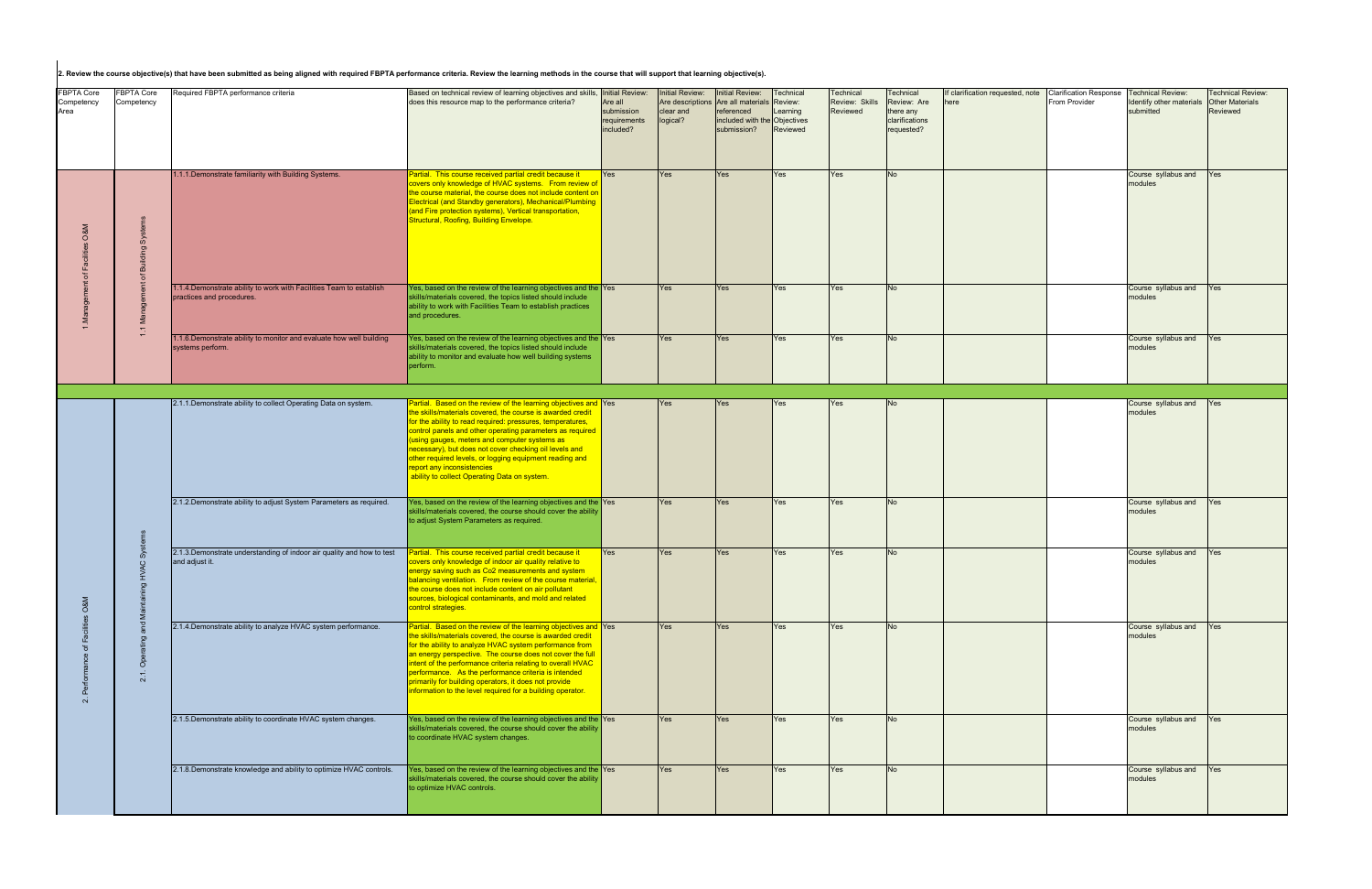|                                         |                               | 2. Review the course objective(s) that have been submitted as being aligned with required FBPTA performance criteria. Review the learning methods in the course that will support that learning objective(s). |                                                                                                                                                                                                                                                                                                                                                                                                                                                                                                             |                                                                       |                                                 |                                                                                                                    |                                              |                                         |                                                                       |                                          |                                                |                                                                  |                                                                |
|-----------------------------------------|-------------------------------|---------------------------------------------------------------------------------------------------------------------------------------------------------------------------------------------------------------|-------------------------------------------------------------------------------------------------------------------------------------------------------------------------------------------------------------------------------------------------------------------------------------------------------------------------------------------------------------------------------------------------------------------------------------------------------------------------------------------------------------|-----------------------------------------------------------------------|-------------------------------------------------|--------------------------------------------------------------------------------------------------------------------|----------------------------------------------|-----------------------------------------|-----------------------------------------------------------------------|------------------------------------------|------------------------------------------------|------------------------------------------------------------------|----------------------------------------------------------------|
| <b>FBPTA Core</b><br>Competency<br>Area | FBPTA Core<br>Competency      | Required FBPTA performance criteria                                                                                                                                                                           | Based on technical review of learning objectives and skills,<br>does this resource map to the performance criteria?                                                                                                                                                                                                                                                                                                                                                                                         | Initial Review:<br>Are all<br>submission<br>requirements<br>included? | <b>Initial Review:</b><br>clear and<br>logical? | Initial Review:<br>Are descriptions Are all materials<br>referenced<br>included with the Objectives<br>submission? | Technical<br>Review:<br>Learning<br>Reviewed | Technical<br>Review: Skills<br>Reviewed | Technical<br>Review: Are<br>there any<br>clarifications<br>requested? | If clarification requested, note<br>here | <b>Clarification Response</b><br>From Provider | <b>Technical Review:</b><br>Identify other material<br>submitted | <b>Fechnical Review:</b><br><b>Other Materials</b><br>Reviewed |
|                                         | ó<br>$\overline{\phantom{0}}$ | 1.1.1. Demonstrate familiarity with Building Systems.                                                                                                                                                         | Partial. This course received partial credit because it<br>covers only knowledge of HVAC systems. From review of<br>the course material, the course does not include content on<br>Electrical (and Standby generators), Mechanical/Plumbing<br>(and Fire protection systems), Vertical transportation,<br>Structural, Roofing, Building Envelope.                                                                                                                                                           | <b>Yes</b>                                                            | Yes                                             | Yes                                                                                                                | Yes                                          | Yes                                     | N <sub>o</sub>                                                        |                                          |                                                | Course syllabus and <b>Yes</b><br>modules                        |                                                                |
|                                         |                               | 1.1.4. Demonstrate ability to work with Facilities Team to establish<br>practices and procedures.                                                                                                             | Yes, based on the review of the learning objectives and the Yes<br>skills/materials covered, the topics listed should include<br>ability to work with Facilities Team to establish practices<br>and procedures.                                                                                                                                                                                                                                                                                             |                                                                       | Yes                                             | Yes                                                                                                                | Yes                                          | Yes                                     | <b>No</b>                                                             |                                          |                                                | Course syllabus and<br>modules                                   | <b>Yes</b>                                                     |
|                                         |                               | .1.6. Demonstrate ability to monitor and evaluate how well building<br>systems perform.                                                                                                                       | Yes, based on the review of the learning objectives and the Yes<br>skills/materials covered, the topics listed should include<br>ability to monitor and evaluate how well building systems<br>perform.                                                                                                                                                                                                                                                                                                      |                                                                       | Yes                                             | Yes                                                                                                                | Yes                                          | Yes                                     | No.                                                                   |                                          |                                                | Course syllabus and<br>modules                                   | Yes                                                            |
|                                         |                               |                                                                                                                                                                                                               |                                                                                                                                                                                                                                                                                                                                                                                                                                                                                                             |                                                                       |                                                 |                                                                                                                    |                                              |                                         |                                                                       |                                          |                                                |                                                                  |                                                                |
|                                         | <b>SC</b><br>$\circ$<br>ŏ     | 2.1.1. Demonstrate ability to collect Operating Data on system.                                                                                                                                               | Partial. Based on the review of the learning objectives and Yes<br>the skills/materials covered, the course is awarded credit<br>for the ability to read required: pressures, temperatures,<br>control panels and other operating parameters as required<br>using gauges, meters and computer systems as<br>necessary), but does not cover checking oil levels and<br>other required levels, or logging equipment reading and<br>report any inconsistencies<br>ability to collect Operating Data on system. |                                                                       | Yes                                             | Yes                                                                                                                | Yes                                          | Yes                                     | <b>No</b>                                                             |                                          |                                                | Course syllabus and<br>modules                                   | <b>Yes</b>                                                     |
|                                         |                               | 2.1.2. Demonstrate ability to adjust System Parameters as required.                                                                                                                                           | Yes, based on the review of the learning objectives and the Yes<br>skills/materials covered, the course should cover the ability<br>to adjust System Parameters as required.                                                                                                                                                                                                                                                                                                                                |                                                                       | Yes                                             | Yes                                                                                                                | Yes                                          | Yes                                     | No.                                                                   |                                          |                                                | Course syllabus and<br>modules                                   | Yes                                                            |
| $\mathbf{a}$                            |                               | 2.1.3. Demonstrate understanding of indoor air quality and how to test<br>and adjust it.                                                                                                                      | Partial. This course received partial credit because it<br>covers only knowledge of indoor air quality relative to<br>energy saving such as Co2 measurements and system<br>balancing ventilation. From review of the course material,<br>the course does not include content on air pollutant<br>sources, biological contaminants, and mold and related<br>control strategies.                                                                                                                              | Yes                                                                   | Yes                                             | Yes                                                                                                                | Yes                                          | Yes                                     | No.                                                                   |                                          |                                                | Course syllabus and<br>modules                                   | Yes                                                            |
|                                         |                               | 2.1.4. Demonstrate ability to analyze HVAC system performance.                                                                                                                                                | Partial. Based on the review of the learning objectives and Yes<br>the skills/materials covered, the course is awarded credit<br>for the ability to analyze HVAC system performance from<br>an energy perspective. The course does not cover the full<br>intent of the performance criteria relating to overall HVAC<br>performance. As the performance criteria is intended<br>primarily for building operators, it does not provide<br>information to the level required for a building operator.         |                                                                       | Yes                                             | Yes                                                                                                                | Yes                                          | Yes                                     | <b>No</b>                                                             |                                          |                                                | Course syllabus and Yes<br>modules                               |                                                                |
|                                         |                               | 2.1.5. Demonstrate ability to coordinate HVAC system changes.                                                                                                                                                 | Yes, based on the review of the learning objectives and the Yes<br>skills/materials covered, the course should cover the ability<br>to coordinate HVAC system changes.                                                                                                                                                                                                                                                                                                                                      |                                                                       | Yes                                             | Yes                                                                                                                | Yes                                          | Yes                                     | <b>No</b>                                                             |                                          |                                                | Course syllabus and<br>modules                                   | Yes                                                            |
|                                         |                               | 2.1.8. Demonstrate knowledge and ability to optimize HVAC controls.                                                                                                                                           | Yes, based on the review of the learning objectives and the Yes<br>skills/materials covered, the course should cover the ability<br>to optimize HVAC controls.                                                                                                                                                                                                                                                                                                                                              |                                                                       | Yes                                             | Yes                                                                                                                | Yes                                          | Yes                                     | <b>No</b>                                                             |                                          |                                                | Course syllabus and Yes<br>modules                               |                                                                |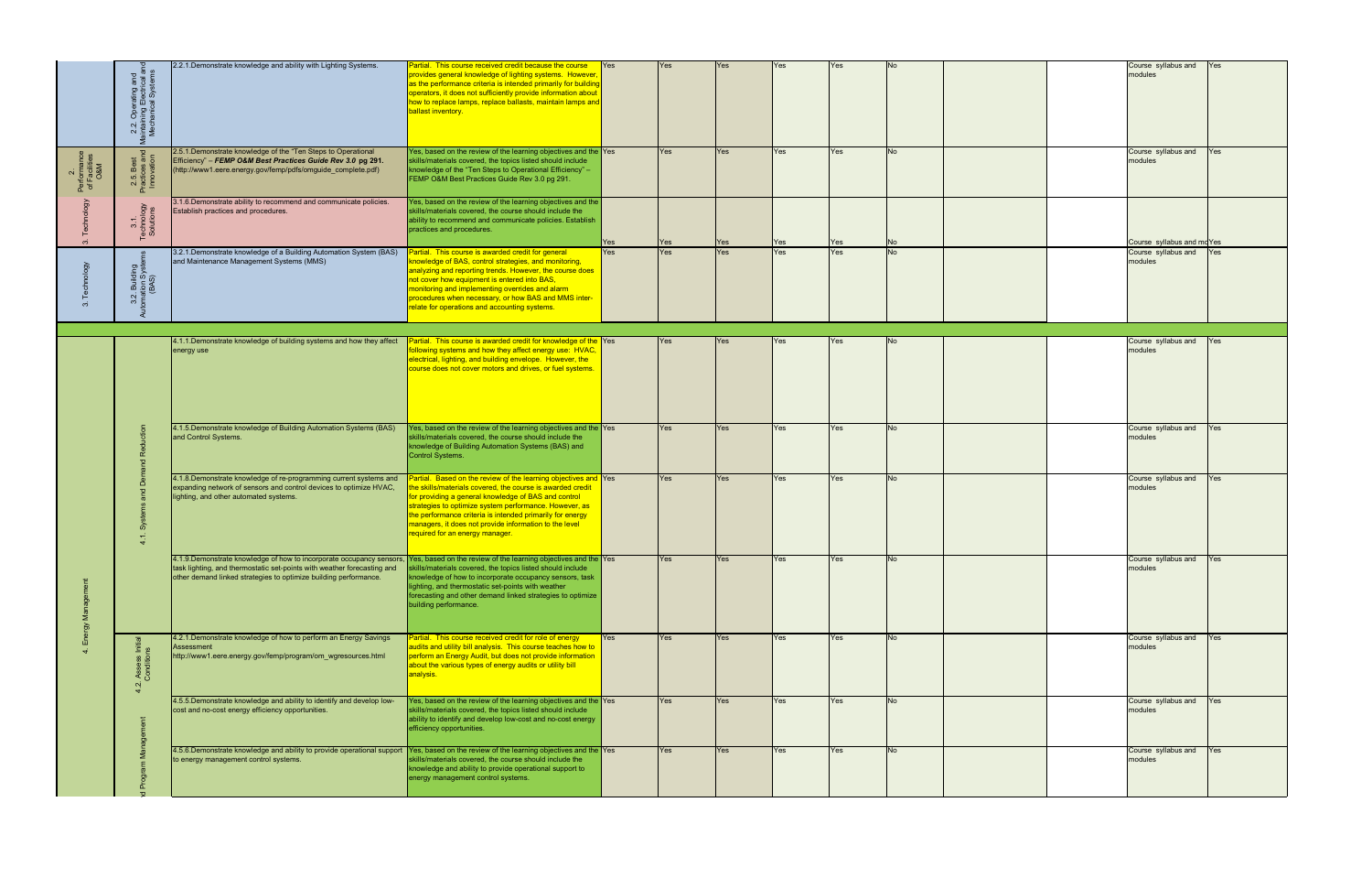|                                     | . Operating and<br>ining Electrical a<br>hanical Systems<br>2.2<br>aintail<br>Mech | 2.2.1. Demonstrate knowledge and ability with Lighting Systems.                                                                                                                                                                                                                      | Partial. This course received credit because the course<br>provides general knowledge of lighting systems. However<br>as the performance criteria is intended primarily for building<br>operators, it does not sufficiently provide information about<br>how to replace lamps, replace ballasts, maintain lamps and<br>ballast inventory.                                                                | <b>Yes</b> | Yes        | Yes | Yes | Yes |           |  | Course syllabus and<br>modules     | Yes |
|-------------------------------------|------------------------------------------------------------------------------------|--------------------------------------------------------------------------------------------------------------------------------------------------------------------------------------------------------------------------------------------------------------------------------------|----------------------------------------------------------------------------------------------------------------------------------------------------------------------------------------------------------------------------------------------------------------------------------------------------------------------------------------------------------------------------------------------------------|------------|------------|-----|-----|-----|-----------|--|------------------------------------|-----|
| Performance<br>of Facilities<br>O&M | 2.5. Best<br>ractices an<br>Innovation                                             | 2.5.1. Demonstrate knowledge of the "Ten Steps to Operational<br>Efficiency" - FEMP O&M Best Practices Guide Rev 3.0 pg 291.<br>(http://www1.eere.energy.gov/femp/pdfs/omguide_complete.pdf)                                                                                         | Yes, based on the review of the learning objectives and the Yes<br>skills/materials covered, the topics listed should include<br>knowledge of the "Ten Steps to Operational Efficiency" -<br>FEMP O&M Best Practices Guide Rev 3.0 pg 291.                                                                                                                                                               |            | <b>Yes</b> | Yes | Yes | Yes | <b>No</b> |  | Course syllabus and Yes<br>modules |     |
| $\infty$                            | 3.1.<br>Technology<br>Solutions                                                    | 3.1.6. Demonstrate ability to recommend and communicate policies.<br>Establish practices and procedures.                                                                                                                                                                             | Yes, based on the review of the learning objectives and the<br>skills/materials covered, the course should include the<br>ability to recommend and communicate policies. Establish<br>practices and procedures.                                                                                                                                                                                          | Yes        | Yes        | Yes | Yes | Yes | No        |  | Course syllabus and moYes          |     |
|                                     | :. Building<br>ation Syste<br>(BAS)<br>3.2                                         | 3.2.1. Demonstrate knowledge of a Building Automation System (BAS)<br>and Maintenance Management Systems (MMS)                                                                                                                                                                       | Partial. This course is awarded credit for general<br>knowledge of BAS, control strategies, and monitoring,<br>analyzing and reporting trends. However, the course does<br>not cover how equipment is entered into BAS,<br>monitoring and implementing overrides and alarm<br>procedures when necessary, or how BAS and MMS inter-<br>relate for operations and accounting systems.                      | Yes        | Yes        | Yes | Yes | Yes | <b>No</b> |  | Course syllabus and<br>modules     | Yes |
|                                     |                                                                                    | 4.1.1. Demonstrate knowledge of building systems and how they affect<br>energy use                                                                                                                                                                                                   | artial. This course is awarded credit for knowledge of the Yes<br>following systems and how they affect energy use: HVAC,<br>electrical, lighting, and building envelope. However, the<br>course does not cover motors and drives, or fuel systems.                                                                                                                                                      |            | Yes        | Yes | Yes | Yes | No.       |  | Course syllabus and<br>modules     | Yes |
|                                     |                                                                                    | 4.1.5. Demonstrate knowledge of Building Automation Systems (BAS)<br>and Control Systems.                                                                                                                                                                                            | Yes, based on the review of the learning objectives and the Yes<br>skills/materials covered, the course should include the<br>knowledge of Building Automation Systems (BAS) and<br>Control Systems.                                                                                                                                                                                                     |            | Yes        | Yes | Yes | Yes | No.       |  | Course syllabus and<br>modules     | Yes |
|                                     |                                                                                    | 4.1.8. Demonstrate knowledge of re-programming current systems and<br>expanding network of sensors and control devices to optimize HVAC,<br>lighting, and other automated systems.                                                                                                   | Partial. Based on the review of the learning objectives and Yes<br>ne skills/materials covered, the course is awarded credit<br>for providing a general knowledge of BAS and control<br>strategies to optimize system performance. However, as<br>the performance criteria is intended primarily for energy<br>managers, it does not provide information to the level<br>required for an energy manager. |            | Yes        | Yes | Yes | Yes | No.       |  | Course syllabus and<br>modules     | Yes |
|                                     |                                                                                    | 4.1.9. Demonstrate knowledge of how to incorporate occupancy sensors, Yes, based on the review of the learning objectives and the Yes<br>task lighting, and thermostatic set-points with weather forecasting and<br>other demand linked strategies to optimize building performance. | skills/materials covered, the topics listed should include<br>knowledge of how to incorporate occupancy sensors, task<br>lighting, and thermostatic set-points with weather<br>forecasting and other demand linked strategies to optimize<br>building performance.                                                                                                                                       |            | 'es        |     |     |     |           |  | Course syllabus and<br>modules     | Yes |
|                                     | Assess<br>Condition<br>$\mathbf{N}$<br>$\vec{r}$                                   | 4.2.1. Demonstrate knowledge of how to perform an Energy Savings<br>Assessment<br>http://www1.eere.energy.gov/femp/program/om_wgresources.html                                                                                                                                       | Partial. This course received credit for role of energy<br>audits and utility bill analysis. This course teaches how to<br>perform an Energy Audit, but does not provide information<br>about the various types of energy audits or utility bill<br><mark>analysis.</mark>                                                                                                                               | <b>Yes</b> | Yes        | Yes | Yes | Yes | <b>No</b> |  | Course syllabus and Yes<br>modules |     |
|                                     |                                                                                    | 4.5.5. Demonstrate knowledge and ability to identify and develop low-<br>cost and no-cost energy efficiency opportunities.                                                                                                                                                           | Yes, based on the review of the learning objectives and the Yes<br>skills/materials covered, the topics listed should include<br>ability to identify and develop low-cost and no-cost energy<br>efficiency opportunities.                                                                                                                                                                                |            | Yes        | Yes | Yes | Yes | No.       |  | Course syllabus and<br>modules     | Yes |
|                                     |                                                                                    | 4.5.6. Demonstrate knowledge and ability to provide operational support Yes, based on the review of the learning objectives and the Yes<br>to energy management control systems.                                                                                                     | skills/materials covered, the course should include the<br>knowledge and ability to provide operational support to<br>energy management control systems.                                                                                                                                                                                                                                                 |            | Yes        | Yes | Yes | Yes | <b>No</b> |  | Course syllabus and Yes<br>modules |     |
|                                     |                                                                                    |                                                                                                                                                                                                                                                                                      |                                                                                                                                                                                                                                                                                                                                                                                                          |            |            |     |     |     |           |  |                                    |     |